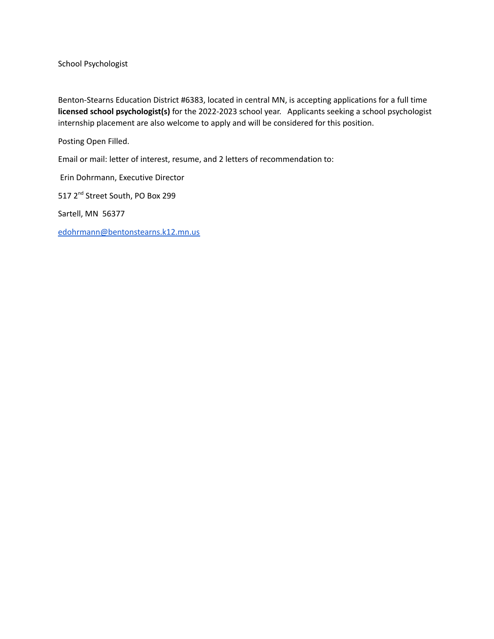School Psychologist

Benton-Stearns Education District #6383, located in central MN, is accepting applications for a full time **licensed school psychologist(s)** for the 2022-2023 school year. Applicants seeking a school psychologist internship placement are also welcome to apply and will be considered for this position.

Posting Open Filled.

Email or mail: letter of interest, resume, and 2 letters of recommendation to:

Erin Dohrmann, Executive Director

517 2<sup>nd</sup> Street South, PO Box 299

Sartell, MN 56377

[edohrmann@bentonstearns.k12.mn.us](mailto:edohrmann@bentonstearns.k12.mn.us)